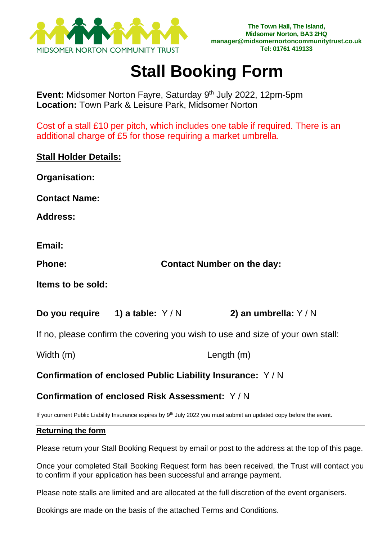

## **Stall Booking Form**

**Event:** Midsomer Norton Fayre, Saturday 9 th July 2022, 12pm-5pm **Location:** Town Park & Leisure Park, Midsomer Norton

Cost of a stall £10 per pitch, which includes one table if required. There is an additional charge of £5 for those requiring a market umbrella.

### **Stall Holder Details:**

**Organisation:**

**Contact Name:** 

**Address:**

**Email:**

**Phone: Contact Number on the day:**

**Items to be sold:**

**Do you require 1) a table:** Y / N **2) an umbrella:** Y / N

If no, please confirm the covering you wish to use and size of your own stall:

Width (m) Length (m)

**Confirmation of enclosed Public Liability Insurance:** Y / N

## **Confirmation of enclosed Risk Assessment:** Y / N

If your current Public Liability Insurance expires by 9<sup>th</sup> July 2022 you must submit an updated copy before the event.

#### **Returning the form**

Please return your Stall Booking Request by email or post to the address at the top of this page.

Once your completed Stall Booking Request form has been received, the Trust will contact you to confirm if your application has been successful and arrange payment.

Please note stalls are limited and are allocated at the full discretion of the event organisers.

Bookings are made on the basis of the attached Terms and Conditions.